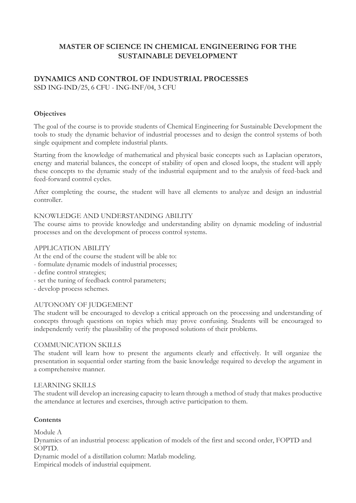## **MASTER OF SCIENCE IN CHEMICAL ENGINEERING FOR THE SUSTAINABLE DEVELOPMENT**

### **DYNAMICS AND CONTROL OF INDUSTRIAL PROCESSES** SSD ING-IND/25, 6 CFU - ING-INF/04, 3 CFU

### **Objectives**

The goal of the course is to provide students of Chemical Engineering for Sustainable Development the tools to study the dynamic behavior of industrial processes and to design the control systems of both single equipment and complete industrial plants.

Starting from the knowledge of mathematical and physical basic concepts such as Laplacian operators, energy and material balances, the concept of stability of open and closed loops, the student will apply these concepts to the dynamic study of the industrial equipment and to the analysis of feed-back and feed-forward control cycles.

After completing the course, the student will have all elements to analyze and design an industrial controller.

### KNOWLEDGE AND UNDERSTANDING ABILITY

The course aims to provide knowledge and understanding ability on dynamic modeling of industrial processes and on the development of process control systems.

### APPLICATION ABILITY

At the end of the course the student will be able to:

- formulate dynamic models of industrial processes;
- define control strategies;
- set the tuning of feedback control parameters;
- develop process schemes.

### AUTONOMY OF JUDGEMENT

The student will be encouraged to develop a critical approach on the processing and understanding of concepts through questions on topics which may prove confusing. Students will be encouraged to independently verify the plausibility of the proposed solutions of their problems.

### COMMUNICATION SKILLS

The student will learn how to present the arguments clearly and effectively. It will organize the presentation in sequential order starting from the basic knowledge required to develop the argument in a comprehensive manner.

#### LEARNING SKILLS

The student will develop an increasing capacity to learn through a method of study that makes productive the attendance at lectures and exercises, through active participation to them.

### **Contents**

Module A

Dynamics of an industrial process: application of models of the first and second order, FOPTD and SOPTD.

Dynamic model of a distillation column: Matlab modeling.

Empirical models of industrial equipment.